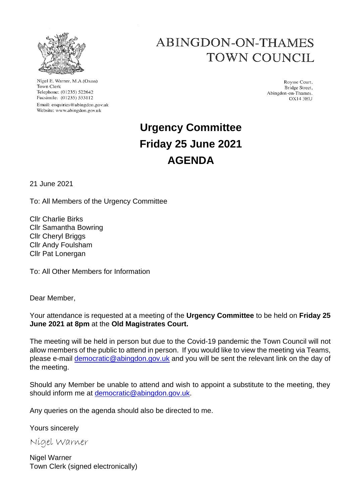

Nigel E. Warner, M.A.(Oxon) Town Clerk Telephone: (01235) 522642 Facsimile: (01235) 533112 Email: enquiries@abingdon.gov.uk Website: www.abingdon.gov.uk

## ABINGDON-ON-THAMES TOWN COUNCIL

Roysse Court, Bridge Street, Abingdon-on-Thames. **OX14 3HU** 

# **Urgency Committee Friday 25 June 2021 AGENDA**

21 June 2021

To: All Members of the Urgency Committee

Cllr Charlie Birks Cllr Samantha Bowring Cllr Cheryl Briggs Cllr Andy Foulsham Cllr Pat Lonergan

To: All Other Members for Information

Dear Member,

Your attendance is requested at a meeting of the **Urgency Committee** to be held on **Friday 25 June 2021 at 8pm** at the **Old Magistrates Court.**

The meeting will be held in person but due to the Covid-19 pandemic the Town Council will not allow members of the public to attend in person. If you would like to view the meeting via Teams, please e-mail democratic@abingdon.gov.uk and you will be sent the relevant link on the day of the meeting.

Should any Member be unable to attend and wish to appoint a substitute to the meeting, they should inform me at democratic@abingdon.gov.uk.

Any queries on the agenda should also be directed to me.

Yours sincerely

Nigel Warner

Nigel Warner Town Clerk (signed electronically)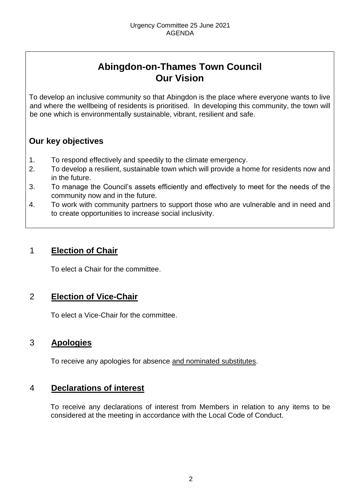## **Abingdon-on-Thames Town Council Our Vision**

To develop an inclusive community so that Abingdon is the place where everyone wants to live and where the wellbeing of residents is prioritised. In developing this community, the town will be one which is environmentally sustainable, vibrant, resilient and safe.

## **Our key objectives**

- 1. To respond effectively and speedily to the climate emergency.
- 2. To develop a resilient, sustainable town which will provide a home for residents now and in the future.
- 3. To manage the Council's assets efficiently and effectively to meet for the needs of the community now and in the future.
- 4. To work with community partners to support those who are vulnerable and in need and to create opportunities to increase social inclusivity.

## 1 **Election of Chair**

To elect a Chair for the committee.

## 2 **Election of Vice-Chair**

To elect a Vice-Chair for the committee.

## 3 **Apologies**

To receive any apologies for absence and nominated substitutes.

## 4 **Declarations of interest**

To receive any declarations of interest from Members in relation to any items to be considered at the meeting in accordance with the Local Code of Conduct.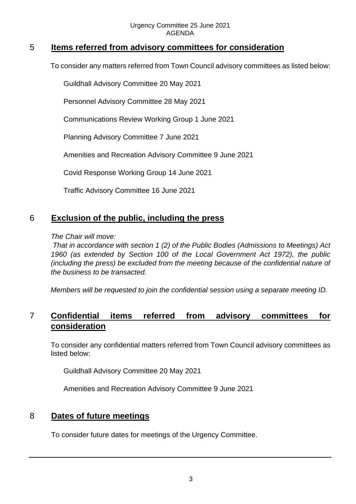## 5 **Items referred from advisory committees for consideration**

To consider any matters referred from Town Council advisory committees as listed below:

Guildhall Advisory Committee 20 May 2021

Personnel Advisory Committee 28 May 2021

Communications Review Working Group 1 June 2021

Planning Advisory Committee 7 June 2021

Amenities and Recreation Advisory Committee 9 June 2021

Covid Response Working Group 14 June 2021

Traffic Advisory Committee 16 June 2021

## 6 **Exclusion of the public, including the press**

#### *The Chair will move:*

*That in accordance with section 1 (2) of the Public Bodies (Admissions to Meetings) Act 1960 (as extended by Section 100 of the Local Government Act 1972), the public (including the press) be excluded from the meeting because of the confidential nature of the business to be transacted.* 

*Members will be requested to join the confidential session using a separate meeting ID.* 

## 7 **Confidential items referred from advisory committees for consideration**

To consider any confidential matters referred from Town Council advisory committees as listed below:

Guildhall Advisory Committee 20 May 2021

Amenities and Recreation Advisory Committee 9 June 2021

## 8 **Dates of future meetings**

To consider future dates for meetings of the Urgency Committee.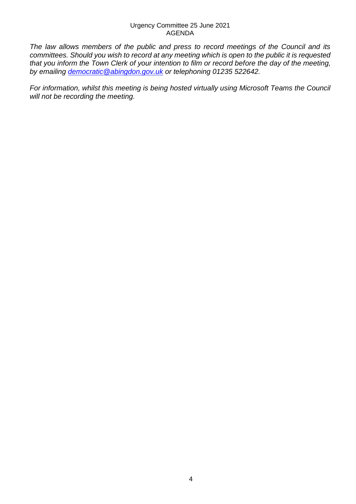#### Urgency Committee 25 June 2021 AGENDA

*The law allows members of the public and press to record meetings of the Council and its committees. Should you wish to record at any meeting which is open to the public it is requested that you inform the Town Clerk of your intention to film or record before the day of the meeting, by emailing democratic@abingdon.gov.uk or telephoning 01235 522642.* 

*For information, whilst this meeting is being hosted virtually using Microsoft Teams the Council will not be recording the meeting.*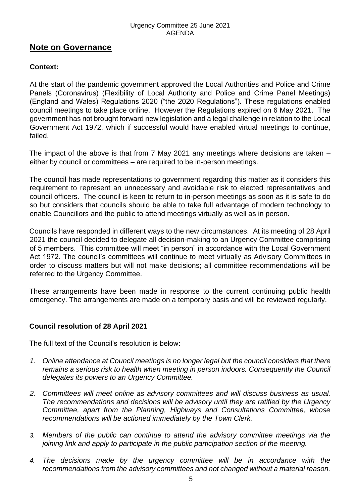#### Urgency Committee 25 June 2021 AGENDA

## **Note on Governance**

### **Context:**

At the start of the pandemic government approved the Local Authorities and Police and Crime Panels (Coronavirus) (Flexibility of Local Authority and Police and Crime Panel Meetings) (England and Wales) Regulations 2020 ("the 2020 Regulations"). These regulations enabled council meetings to take place online. However the Regulations expired on 6 May 2021. The government has not brought forward new legislation and a legal challenge in relation to the Local Government Act 1972, which if successful would have enabled virtual meetings to continue, failed.

The impact of the above is that from 7 May 2021 any meetings where decisions are taken – either by council or committees – are required to be in-person meetings.

The council has made representations to government regarding this matter as it considers this requirement to represent an unnecessary and avoidable risk to elected representatives and council officers. The council is keen to return to in-person meetings as soon as it is safe to do so but considers that councils should be able to take full advantage of modern technology to enable Councillors and the public to attend meetings virtually as well as in person.

Councils have responded in different ways to the new circumstances. At its meeting of 28 April 2021 the council decided to delegate all decision-making to an Urgency Committee comprising of 5 members. This committee will meet "in person" in accordance with the Local Government Act 1972. The council's committees will continue to meet virtually as Advisory Committees in order to discuss matters but will not make decisions; all committee recommendations will be referred to the Urgency Committee.

These arrangements have been made in response to the current continuing public health emergency. The arrangements are made on a temporary basis and will be reviewed regularly.

### **Council resolution of 28 April 2021**

The full text of the Council's resolution is below:

- *1. Online attendance at Council meetings is no longer legal but the council considers that there remains a serious risk to health when meeting in person indoors. Consequently the Council delegates its powers to an Urgency Committee.*
- *2. Committees will meet online as advisory committees and will discuss business as usual. The recommendations and decisions will be advisory until they are ratified by the Urgency Committee, apart from the Planning, Highways and Consultations Committee, whose recommendations will be actioned immediately by the Town Clerk.*
- *3. Members of the public can continue to attend the advisory committee meetings via the joining link and apply to participate in the public participation section of the meeting.*
- *4. The decisions made by the urgency committee will be in accordance with the recommendations from the advisory committees and not changed without a material reason.*